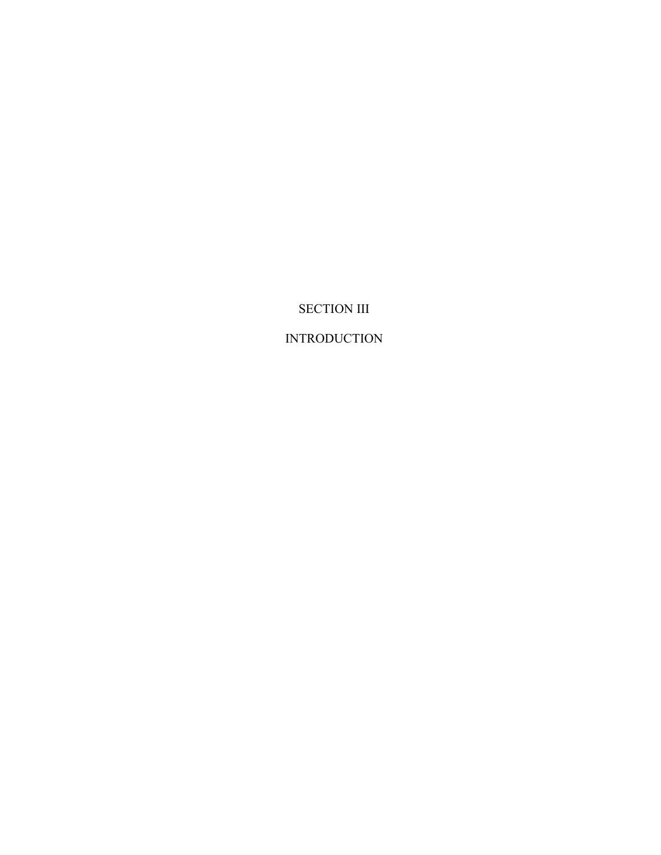SECTION III

INTRODUCTION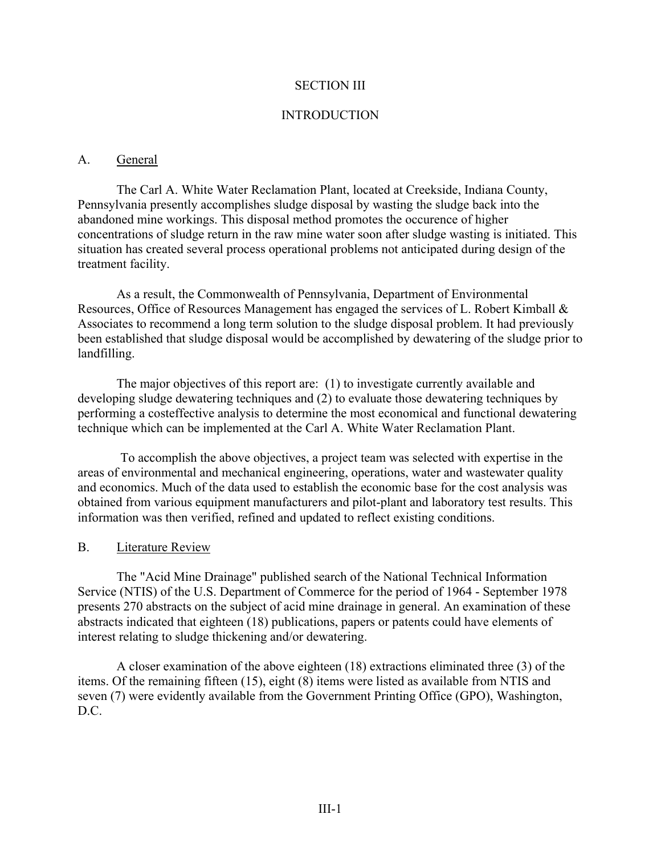### SECTION III

#### INTRODUCTION

#### A. General

The Carl A. White Water Reclamation Plant, located at Creekside, Indiana County, Pennsylvania presently accomplishes sludge disposal by wasting the sludge back into the abandoned mine workings. This disposal method promotes the occurence of higher concentrations of sludge return in the raw mine water soon after sludge wasting is initiated. This situation has created several process operational problems not anticipated during design of the treatment facility.

As a result, the Commonwealth of Pennsylvania, Department of Environmental Resources, Office of Resources Management has engaged the services of L. Robert Kimball & Associates to recommend a long term solution to the sludge disposal problem. It had previously been established that sludge disposal would be accomplished by dewatering of the sludge prior to landfilling.

The major objectives of this report are: (1) to investigate currently available and developing sludge dewatering techniques and (2) to evaluate those dewatering techniques by performing a costeffective analysis to determine the most economical and functional dewatering technique which can be implemented at the Carl A. White Water Reclamation Plant.

To accomplish the above objectives, a project team was selected with expertise in the areas of environmental and mechanical engineering, operations, water and wastewater quality and economics. Much of the data used to establish the economic base for the cost analysis was obtained from various equipment manufacturers and pilot-plant and laboratory test results. This information was then verified, refined and updated to reflect existing conditions.

#### B. Literature Review

The "Acid Mine Drainage" published search of the National Technical Information Service (NTIS) of the U.S. Department of Commerce for the period of 1964 - September 1978 presents 270 abstracts on the subject of acid mine drainage in general. An examination of these abstracts indicated that eighteen (18) publications, papers or patents could have elements of interest relating to sludge thickening and/or dewatering.

A closer examination of the above eighteen (18) extractions eliminated three (3) of the items. Of the remaining fifteen (15), eight (8) items were listed as available from NTIS and seven (7) were evidently available from the Government Printing Office (GPO), Washington, D.C.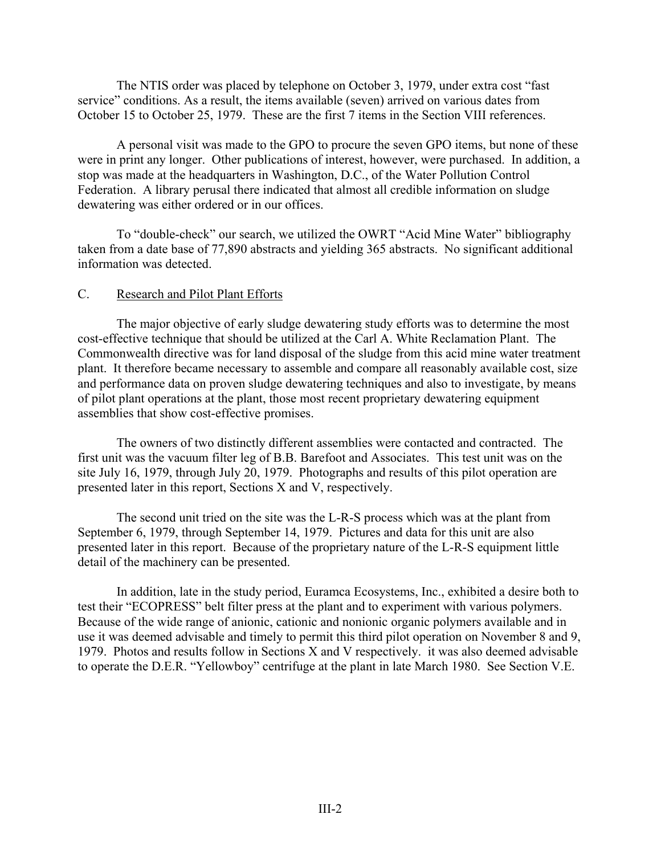The NTIS order was placed by telephone on October 3, 1979, under extra cost "fast service" conditions. As a result, the items available (seven) arrived on various dates from October 15 to October 25, 1979. These are the first 7 items in the Section VIII references.

A personal visit was made to the GPO to procure the seven GPO items, but none of these were in print any longer. Other publications of interest, however, were purchased. In addition, a stop was made at the headquarters in Washington, D.C., of the Water Pollution Control Federation. A library perusal there indicated that almost all credible information on sludge dewatering was either ordered or in our offices.

To "double-check" our search, we utilized the OWRT "Acid Mine Water" bibliography taken from a date base of 77,890 abstracts and yielding 365 abstracts. No significant additional information was detected.

### C. Research and Pilot Plant Efforts

The major objective of early sludge dewatering study efforts was to determine the most cost-effective technique that should be utilized at the Carl A. White Reclamation Plant. The Commonwealth directive was for land disposal of the sludge from this acid mine water treatment plant. It therefore became necessary to assemble and compare all reasonably available cost, size and performance data on proven sludge dewatering techniques and also to investigate, by means of pilot plant operations at the plant, those most recent proprietary dewatering equipment assemblies that show cost-effective promises.

The owners of two distinctly different assemblies were contacted and contracted. The first unit was the vacuum filter leg of B.B. Barefoot and Associates. This test unit was on the site July 16, 1979, through July 20, 1979. Photographs and results of this pilot operation are presented later in this report, Sections X and V, respectively.

The second unit tried on the site was the L-R-S process which was at the plant from September 6, 1979, through September 14, 1979. Pictures and data for this unit are also presented later in this report. Because of the proprietary nature of the L-R-S equipment little detail of the machinery can be presented.

In addition, late in the study period, Euramca Ecosystems, Inc., exhibited a desire both to test their "ECOPRESS" belt filter press at the plant and to experiment with various polymers. Because of the wide range of anionic, cationic and nonionic organic polymers available and in use it was deemed advisable and timely to permit this third pilot operation on November 8 and 9, 1979. Photos and results follow in Sections X and V respectively. it was also deemed advisable to operate the D.E.R. "Yellowboy" centrifuge at the plant in late March 1980. See Section V.E.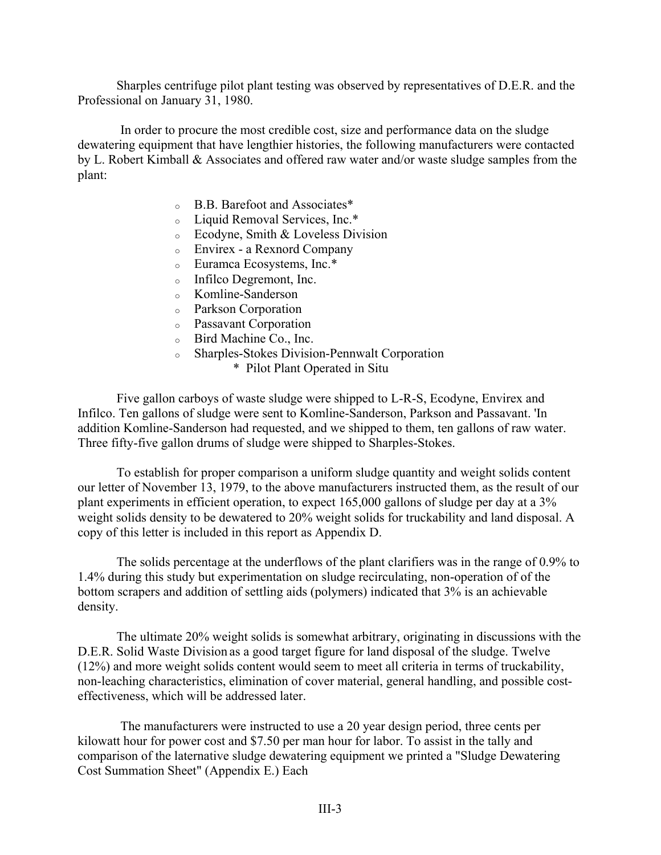Sharples centrifuge pilot plant testing was observed by representatives of D.E.R. and the Professional on January 31, 1980.

In order to procure the most credible cost, size and performance data on the sludge dewatering equipment that have lengthier histories, the following manufacturers were contacted by L. Robert Kimball & Associates and offered raw water and/or waste sludge samples from the plant:

- <sup>o</sup> B.B. Barefoot and Associates\*
- <sup>o</sup> Liquid Removal Services, Inc.\*
- <sup>o</sup> Ecodyne, Smith & Loveless Division
- <sup>o</sup> Envirex a Rexnord Company
- <sup>o</sup> Euramca Ecosystems, Inc.\*
- <sup>o</sup> Infilco Degremont, Inc.
- <sup>o</sup> Komline-Sanderson
- <sup>o</sup> Parkson Corporation
- <sup>o</sup> Passavant Corporation
- <sup>o</sup> Bird Machine Co., Inc.
- <sup>o</sup> Sharples-Stokes Division-Pennwalt Corporation
	- \* Pilot Plant Operated in Situ

Five gallon carboys of waste sludge were shipped to L-R-S, Ecodyne, Envirex and Infilco. Ten gallons of sludge were sent to Komline-Sanderson, Parkson and Passavant. 'In addition Komline-Sanderson had requested, and we shipped to them, ten gallons of raw water. Three fifty-five gallon drums of sludge were shipped to Sharples-Stokes.

To establish for proper comparison a uniform sludge quantity and weight solids content our letter of November 13, 1979, to the above manufacturers instructed them, as the result of our plant experiments in efficient operation, to expect 165,000 gallons of sludge per day at a 3% weight solids density to be dewatered to 20% weight solids for truckability and land disposal. A copy of this letter is included in this report as Appendix D.

The solids percentage at the underflows of the plant clarifiers was in the range of 0.9% to 1.4% during this study but experimentation on sludge recirculating, non-operation of of the bottom scrapers and addition of settling aids (polymers) indicated that 3% is an achievable density.

The ultimate 20% weight solids is somewhat arbitrary, originating in discussions with the D.E.R. Solid Waste Division as a good target figure for land disposal of the sludge. Twelve (12%) and more weight solids content would seem to meet all criteria in terms of truckability, non-leaching characteristics, elimination of cover material, general handling, and possible costeffectiveness, which will be addressed later.

The manufacturers were instructed to use a 20 year design period, three cents per kilowatt hour for power cost and \$7.50 per man hour for labor. To assist in the tally and comparison of the laternative sludge dewatering equipment we printed a "Sludge Dewatering Cost Summation Sheet" (Appendix E.) Each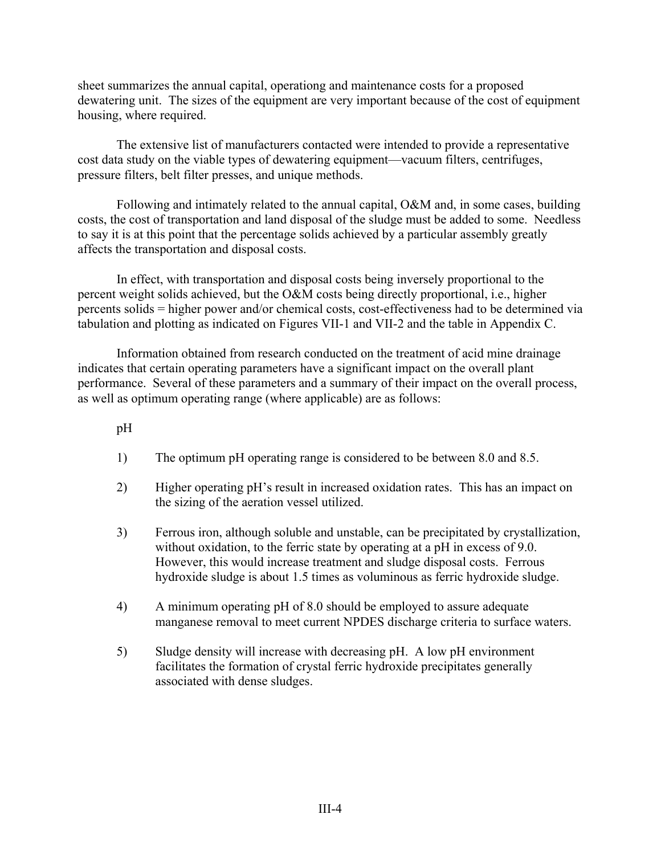sheet summarizes the annual capital, operationg and maintenance costs for a proposed dewatering unit. The sizes of the equipment are very important because of the cost of equipment housing, where required.

The extensive list of manufacturers contacted were intended to provide a representative cost data study on the viable types of dewatering equipment—vacuum filters, centrifuges, pressure filters, belt filter presses, and unique methods.

Following and intimately related to the annual capital, O&M and, in some cases, building costs, the cost of transportation and land disposal of the sludge must be added to some. Needless to say it is at this point that the percentage solids achieved by a particular assembly greatly affects the transportation and disposal costs.

In effect, with transportation and disposal costs being inversely proportional to the percent weight solids achieved, but the O&M costs being directly proportional, i.e., higher percents solids = higher power and/or chemical costs, cost-effectiveness had to be determined via tabulation and plotting as indicated on Figures VII-1 and VII-2 and the table in Appendix C.

Information obtained from research conducted on the treatment of acid mine drainage indicates that certain operating parameters have a significant impact on the overall plant performance. Several of these parameters and a summary of their impact on the overall process, as well as optimum operating range (where applicable) are as follows:

pH

- 1) The optimum pH operating range is considered to be between 8.0 and 8.5.
- 2) Higher operating pH's result in increased oxidation rates. This has an impact on the sizing of the aeration vessel utilized.
- 3) Ferrous iron, although soluble and unstable, can be precipitated by crystallization, without oxidation, to the ferric state by operating at a pH in excess of 9.0. However, this would increase treatment and sludge disposal costs. Ferrous hydroxide sludge is about 1.5 times as voluminous as ferric hydroxide sludge.
- 4) A minimum operating pH of 8.0 should be employed to assure adequate manganese removal to meet current NPDES discharge criteria to surface waters.
- 5) Sludge density will increase with decreasing pH. A low pH environment facilitates the formation of crystal ferric hydroxide precipitates generally associated with dense sludges.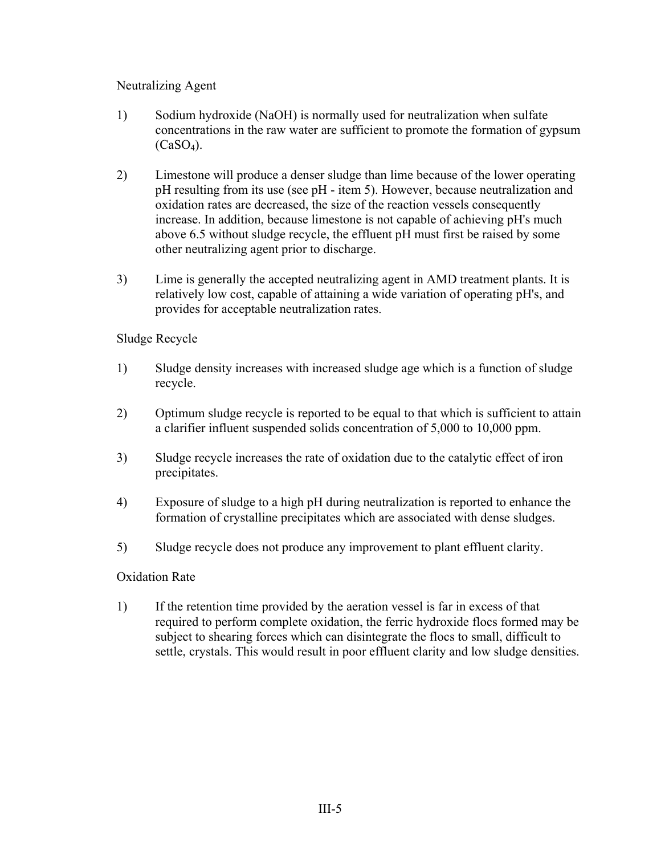## Neutralizing Agent

- 1) Sodium hydroxide (NaOH) is normally used for neutralization when sulfate concentrations in the raw water are sufficient to promote the formation of gypsum  $(CaSO<sub>4</sub>)$ .
- 2) Limestone will produce a denser sludge than lime because of the lower operating pH resulting from its use (see pH - item 5). However, because neutralization and oxidation rates are decreased, the size of the reaction vessels consequently increase. In addition, because limestone is not capable of achieving pH's much above 6.5 without sludge recycle, the effluent pH must first be raised by some other neutralizing agent prior to discharge.
- 3) Lime is generally the accepted neutralizing agent in AMD treatment plants. It is relatively low cost, capable of attaining a wide variation of operating pH's, and provides for acceptable neutralization rates.

# Sludge Recycle

- 1) Sludge density increases with increased sludge age which is a function of sludge recycle.
- 2) Optimum sludge recycle is reported to be equal to that which is sufficient to attain a clarifier influent suspended solids concentration of 5,000 to 10,000 ppm.
- 3) Sludge recycle increases the rate of oxidation due to the catalytic effect of iron precipitates.
- 4) Exposure of sludge to a high pH during neutralization is reported to enhance the formation of crystalline precipitates which are associated with dense sludges.
- 5) Sludge recycle does not produce any improvement to plant effluent clarity.

## Oxidation Rate

1) If the retention time provided by the aeration vessel is far in excess of that required to perform complete oxidation, the ferric hydroxide flocs formed may be subject to shearing forces which can disintegrate the flocs to small, difficult to settle, crystals. This would result in poor effluent clarity and low sludge densities.